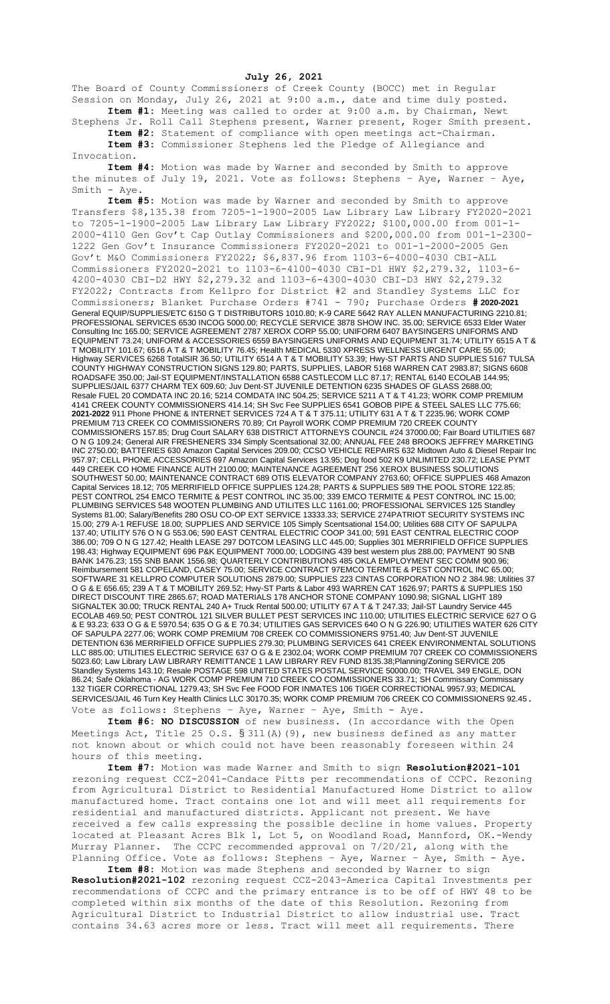**July 26, 2021**

The Board of County Commissioners of Creek County (BOCC) met in Regular Session on Monday, July 26, 2021 at 9:00 a.m., date and time duly posted. **Item #1:** Meeting was called to order at 9:00 a.m. by Chairman, Newt

Stephens Jr. Roll Call Stephens present, Warner present, Roger Smith present. **Item #2:** Statement of compliance with open meetings act-Chairman.

**Item #3:** Commissioner Stephens led the Pledge of Allegiance and Invocation.

**Item #4:** Motion was made by Warner and seconded by Smith to approve the minutes of July 19, 2021. Vote as follows: Stephens – Aye, Warner – Aye, Smith - Aye.

**Item #5:** Motion was made by Warner and seconded by Smith to approve Transfers \$8,135.38 from 7205-1-1900-2005 Law Library Law Library FY2020-2021 to 7205-1-1900-2005 Law Library Law Library FY2022; \$100,000.00 from 001-1- 2000-4110 Gen Gov't Cap Outlay Commissioners and \$200,000.00 from 001-1-2300- 1222 Gen Gov't Insurance Commissioners FY2020-2021 to 001-1-2000-2005 Gen Gov't M&O Commissioners FY2022; \$6,837.96 from 1103-6-4000-4030 CBI-ALL Commissioners FY2020-2021 to 1103-6-4100-4030 CBI-D1 HWY \$2,279.32, 1103-6- 4200-4030 CBI-D2 HWY \$2,279.32 and 1103-6-4300-4030 CBI-D3 HWY \$2,279.32 FY2022; Contracts from Kellpro for District #2 and Standley Systems LLC for Commissioners; Blanket Purchase Orders #741 - 790; Purchase Orders **# 2020-2021** General EQUIP/SUPPLIES/ETC 6150 G T DISTRIBUTORS 1010.80; K-9 CARE 5642 RAY ALLEN MANUFACTURING 2210.81; PROFESSIONAL SERVICES 6530 INCOG 5000.00; RECYCLE SERVICE 3878 SHOW INC. 35.00; SERVICE 6533 Elder Water Consulting Inc 165.00; SERVICE AGREEMENT 2787 XEROX CORP 55.00; UNIFORM 6407 BAYSINGERS UNIFORMS AND EQUIPMENT 73.24; UNIFORM & ACCESSORIES 6559 BAYSINGERS UNIFORMS AND EQUIPMENT 31.74; UTILITY 6515 A T & T MOBILITY 101.67; 6516 A T & T MOBILITY 76.45; Health MEDICAL 5330 XPRESS WELLNESS URGENT CARE 55.00; Highway SERVICES 6268 TotalSIR 36.50; UTILITY 6514 A T & T MOBILITY 53.39; Hwy-ST PARTS AND SUPPLIES 5167 TULSA COUNTY HIGHWAY CONSTRUCTION SIGNS 129.80; PARTS, SUPPLIES, LABOR 5168 WARREN CAT 2983.87; SIGNS 6608 ROADSAFE 350.00; Jail-ST EQUIPMENT/INSTALLATION 6588 CASTLECOM LLC 87.17; RENTAL 6140 ECOLAB 144.95; SUPPLIES/JAIL 6377 CHARM TEX 609.60; Juv Dent-ST JUVENILE DETENTION 6235 SHADES OF GLASS 2688.00; Resale FUEL 20 COMDATA INC 20.16; 5214 COMDATA INC 504.25; SERVICE 5211 A T & T 41.23; WORK COMP PREMIUM 4141 CREEK COUNTY COMMISSIONERS 414.14; SH Svc Fee SUPPLIES 6541 GOBOB PIPE & STEEL SALES LLC 775.66; **2021-2022** 911 Phone PHONE & INTERNET SERVICES 724 A T & T 375.11; UTILITY 631 A T & T 2235.96; WORK COMP PREMIUM 713 CREEK CO COMMISSIONERS 70.89; Crt Payroll WORK COMP PREMIUM 720 CREEK COUNTY COMMISSIONERS 157.85; Drug Court SALARY 638 DISTRICT ATTORNEYS COUNCIL #24 37000.00; Fair Board UTILITIES 687 O N G 109.24; General AIR FRESHENERS 334 Simply Scentsational 32.00; ANNUAL FEE 248 BROOKS JEFFREY MARKETING INC 2750.00; BATTERIES 630 Amazon Capital Services 209.00; CCSO VEHICLE REPAIRS 632 Midtown Auto & Diesel Repair Inc 957.97; CELL PHONE ACCESSORIES 697 Amazon Capital Services 13.95; Dog food 502 K9 UNLIMITED 230.72; LEASE PYMT 449 CREEK CO HOME FINANCE AUTH 2100.00; MAINTENANCE AGREEMENT 256 XEROX BUSINESS SOLUTIONS SOUTHWEST 50.00; MAINTENANCE CONTRACT 689 OTIS ELEVATOR COMPANY 2763.60; OFFICE SUPPLIES 468 Amazon Capital Services 18.12; 705 MERRIFIELD OFFICE SUPPLIES 124.28; PARTS & SUPPLIES 589 THE POOL STORE 122.85; PEST CONTROL 254 EMCO TERMITE & PEST CONTROL INC 35.00; 339 EMCO TERMITE & PEST CONTROL INC 15.00; PLUMBING SERVICES 548 WOOTEN PLUMBING AND UTILITES LLC 1161.00; PROFESSIONAL SERVICES 125 Standley Systems 81.00; Salary/Benefits 280 OSU CO-OP EXT SERVICE 13333.33; SERVICE 274PATRIOT SECURITY SYSTEMS INC 15.00; 279 A-1 REFUSE 18.00; SUPPLIES AND SERVICE 105 Simply Scentsational 154.00; Utilities 688 CITY OF SAPULPA 137.40; UTILITY 576 O N G 553.06; 590 EAST CENTRAL ELECTRIC COOP 341.00; 591 EAST CENTRAL ELECTRIC COOP 386.00; 709 O N G 127.42; Health LEASE 297 DOTCOM LEASING LLC 445.00; Supplies 301 MERRIFIELD OFFICE SUPPLIES 198.43; Highway EQUIPMENT 696 P&K EQUIPMENT 7000.00; LODGING 439 best western plus 288.00; PAYMENT 90 SNB BANK 1476.23; 155 SNB BANK 1556.98; QUARTERLY CONTRIBUTIONS 485 OKLA EMPLOYMENT SEC COMM 900.96; Reimbursement 581 COPELAND, CASEY 75.00; SERVICE CONTRACT 97EMCO TERMITE & PEST CONTROL INC 65.00; SOFTWARE 31 KELLPRO COMPUTER SOLUTIONS 2879.00; SUPPLIES 223 CINTAS CORPORATION NO 2 384.98; Utilities 37 O G & E 656.65; 239 A T & T MOBILITY 269.52; Hwy-ST Parts & Labor 493 WARREN CAT 1626.97; PARTS & SUPPLIES 150 DIRECT DISCOUNT TIRE 2865.67; ROAD MATERIALS 178 ANCHOR STONE COMPANY 1090.98; SIGNAL LIGHT 189 SIGNALTEK 30.00; TRUCK RENTAL 240 A+ Truck Rental 500.00; UTILITY 67 A T & T 247.33; Jail-ST Laundry Service 445 ECOLAB 469.50; PEST CONTROL 121 SILVER BULLET PEST SERVICES INC 110.00; UTILITIES ELECTRIC SERVICE 627 O G & E 93.23; 633 O G & E 5970.54; 635 O G & E 70.34; UTILITIES GAS SERVICES 640 O N G 226.90; UTILITIES WATER 626 CITY OF SAPULPA 2277.06; WORK COMP PREMIUM 708 CREEK CO COMMISSIONERS 9751.40; Juv Dent-ST JUVENILE DETENTION 636 MERRIFIELD OFFICE SUPPLIES 279.30; PLUMBING SERVICES 641 CREEK ENVIRONMENTAL SOLUTIONS LLC 885.00; UTILITIES ELECTRIC SERVICE 637 O G & E 2302.04; WORK COMP PREMIUM 707 CREEK CO COMMISSIONERS 5023.60; Law Library LAW LIBRARY REMITTANCE 1 LAW LIBRARY REV FUND 8135.38;Planning/Zoning SERVICE 205 Standley Systems 143.10; Resale POSTAGE 598 UNITED STATES POSTAL SERVICE 50000.00; TRAVEL 349 ENGLE, DON 86.24; Safe Oklahoma - AG WORK COMP PREMIUM 710 CREEK CO COMMISSIONERS 33.71; SH Commissary Commissary 132 TIGER CORRECTIONAL 1279.43; SH Svc Fee FOOD FOR INMATES 106 TIGER CORRECTIONAL 9957.93; MEDICAL SERVICES/JAIL 46 Turn Key Health Clinics LLC 30170.35; WORK COMP PREMIUM 706 CREEK CO COMMISSIONERS 92.45. Vote as follows: Stephens - Aye, Warner - Aye, Smith - Aye.

**Item #6: NO DISCUSSION** of new business. (In accordance with the Open Meetings Act, Title 25 O.S. § 311(A)(9), new business defined as any matter not known about or which could not have been reasonably foreseen within 24 hours of this meeting.

**Item #7:** Motion was made Warner and Smith to sign **Resolution#2021-101** rezoning request CCZ-2041-Candace Pitts per recommendations of CCPC. Rezoning from Agricultural District to Residential Manufactured Home District to allow manufactured home. Tract contains one lot and will meet all requirements for residential and manufactured districts. Applicant not present. We have received a few calls expressing the possible decline in home values. Property located at Pleasant Acres Blk 1, Lot 5, on Woodland Road, Mannford, OK.-Wendy Murray Planner. The CCPC recommended approval on 7/20/21, along with the Planning Office. Vote as follows: Stephens - Aye, Warner - Aye, Smith - Aye.

**Item #8:** Motion was made Stephens and seconded by Warner to sign **Resolution#2021-102** rezoning request CCZ-2043-America Capital Investments per recommendations of CCPC and the primary entrance is to be off of HWY 48 to be completed within six months of the date of this Resolution. Rezoning from Agricultural District to Industrial District to allow industrial use. Tract contains 34.63 acres more or less. Tract will meet all requirements. There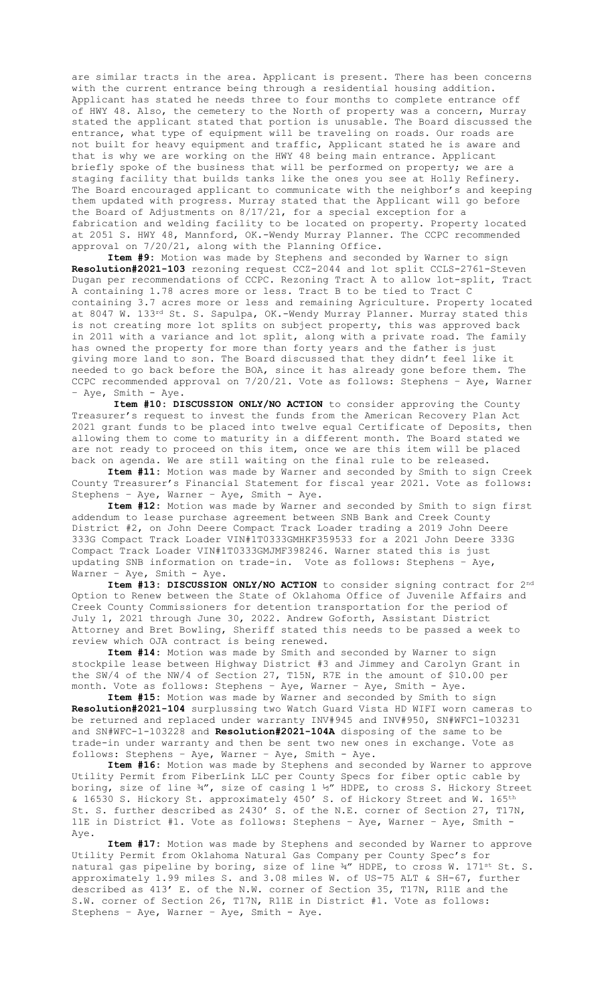are similar tracts in the area. Applicant is present. There has been concerns with the current entrance being through a residential housing addition. Applicant has stated he needs three to four months to complete entrance off of HWY 48. Also, the cemetery to the North of property was a concern, Murray stated the applicant stated that portion is unusable. The Board discussed the entrance, what type of equipment will be traveling on roads. Our roads are not built for heavy equipment and traffic, Applicant stated he is aware and that is why we are working on the HWY 48 being main entrance. Applicant briefly spoke of the business that will be performed on property; we are a staging facility that builds tanks like the ones you see at Holly Refinery. The Board encouraged applicant to communicate with the neighbor's and keeping them updated with progress. Murray stated that the Applicant will go before the Board of Adjustments on 8/17/21, for a special exception for a fabrication and welding facility to be located on property. Property located at 2051 S. HWY 48, Mannford, OK.-Wendy Murray Planner. The CCPC recommended approval on 7/20/21, along with the Planning Office.

**Item #9:** Motion was made by Stephens and seconded by Warner to sign **Resolution#2021-103** rezoning request CCZ-2044 and lot split CCLS-2761-Steven Dugan per recommendations of CCPC. Rezoning Tract A to allow lot-split, Tract A containing 1.78 acres more or less. Tract B to be tied to Tract C containing 3.7 acres more or less and remaining Agriculture. Property located at 8047 W. 133rd St. S. Sapulpa, OK.-Wendy Murray Planner. Murray stated this is not creating more lot splits on subject property, this was approved back in 2011 with a variance and lot split, along with a private road. The family has owned the property for more than forty years and the father is just giving more land to son. The Board discussed that they didn't feel like it needed to go back before the BOA, since it has already gone before them. The CCPC recommended approval on 7/20/21. Vote as follows: Stephens – Aye, Warner – Aye, Smith - Aye.

**Item #10: DISCUSSION ONLY/NO ACTION** to consider approving the County Treasurer's request to invest the funds from the American Recovery Plan Act 2021 grant funds to be placed into twelve equal Certificate of Deposits, then allowing them to come to maturity in a different month. The Board stated we are not ready to proceed on this item, once we are this item will be placed back on agenda. We are still waiting on the final rule to be released.

**Item #11:** Motion was made by Warner and seconded by Smith to sign Creek County Treasurer's Financial Statement for fiscal year 2021. Vote as follows: Stephens – Aye, Warner – Aye, Smith - Aye.

**Item #12:** Motion was made by Warner and seconded by Smith to sign first addendum to lease purchase agreement between SNB Bank and Creek County District #2, on John Deere Compact Track Loader trading a 2019 John Deere 333G Compact Track Loader VIN#1T0333GMHKF359533 for a 2021 John Deere 333G Compact Track Loader VIN#1T0333GMJMF398246. Warner stated this is just updating SNB information on trade-in. Vote as follows: Stephens – Aye, Warner – Aye, Smith - Aye.

**Item #13: DISCUSSION ONLY/NO ACTION** to consider signing contract for 2nd Option to Renew between the State of Oklahoma Office of Juvenile Affairs and Creek County Commissioners for detention transportation for the period of July 1, 2021 through June 30, 2022. Andrew Goforth, Assistant District Attorney and Bret Bowling, Sheriff stated this needs to be passed a week to review which OJA contract is being renewed.

**Item #14:** Motion was made by Smith and seconded by Warner to sign stockpile lease between Highway District #3 and Jimmey and Carolyn Grant in the SW/4 of the NW/4 of Section 27, T15N, R7E in the amount of \$10.00 per month. Vote as follows: Stephens – Aye, Warner – Aye, Smith - Aye.

**Item #15:** Motion was made by Warner and seconded by Smith to sign **Resolution#2021-104** surplussing two Watch Guard Vista HD WIFI worn cameras to be returned and replaced under warranty INV#945 and INV#950, SN#WFC1-103231 and SN#WFC-1-103228 and **Resolution#2021-104A** disposing of the same to be trade-in under warranty and then be sent two new ones in exchange. Vote as follows: Stephens – Aye, Warner – Aye, Smith - Aye.

**Item #16:** Motion was made by Stephens and seconded by Warner to approve Utility Permit from FiberLink LLC per County Specs for fiber optic cable by boring, size of line  $\frac{3}{4}$ , size of casing 1  $\frac{1}{2}$  HDPE, to cross S. Hickory Street & 16530 S. Hickory St. approximately 450' S. of Hickory Street and W. 165th St. S. further described as 2430' S. of the N.E. corner of Section 27, T17N, 11E in District #1. Vote as follows: Stephens – Aye, Warner – Aye, Smith - Aye.

**Item #17:** Motion was made by Stephens and seconded by Warner to approve Utility Permit from Oklahoma Natural Gas Company per County Spec's for natural gas pipeline by boring, size of line ¾" HDPE, to cross W. 171st St. S. approximately 1.99 miles S. and 3.08 miles W. of US-75 ALT & SH-67, further described as 413' E. of the N.W. corner of Section 35, T17N, R11E and the S.W. corner of Section 26, T17N, R11E in District #1. Vote as follows: Stephens – Aye, Warner – Aye, Smith - Aye.